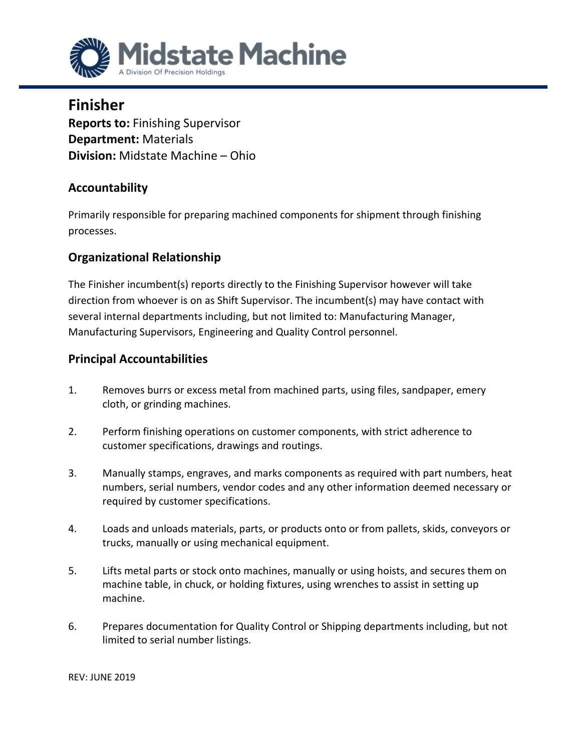

**Finisher Reports to:** Finishing Supervisor **Department:** Materials **Division:** Midstate Machine – Ohio

## **Accountability**

Primarily responsible for preparing machined components for shipment through finishing processes.

## **Organizational Relationship**

The Finisher incumbent(s) reports directly to the Finishing Supervisor however will take direction from whoever is on as Shift Supervisor. The incumbent(s) may have contact with several internal departments including, but not limited to: Manufacturing Manager, Manufacturing Supervisors, Engineering and Quality Control personnel.

## **Principal Accountabilities**

- 1. Removes burrs or excess metal from machined parts, using files, sandpaper, emery cloth, or grinding machines.
- 2. Perform finishing operations on customer components, with strict adherence to customer specifications, drawings and routings.
- 3. Manually stamps, engraves, and marks components as required with part numbers, heat numbers, serial numbers, vendor codes and any other information deemed necessary or required by customer specifications.
- 4. Loads and unloads materials, parts, or products onto or from pallets, skids, conveyors or trucks, manually or using mechanical equipment.
- 5. Lifts metal parts or stock onto machines, manually or using hoists, and secures them on machine table, in chuck, or holding fixtures, using wrenches to assist in setting up machine.
- 6. Prepares documentation for Quality Control or Shipping departments including, but not limited to serial number listings.

REV: JUNE 2019